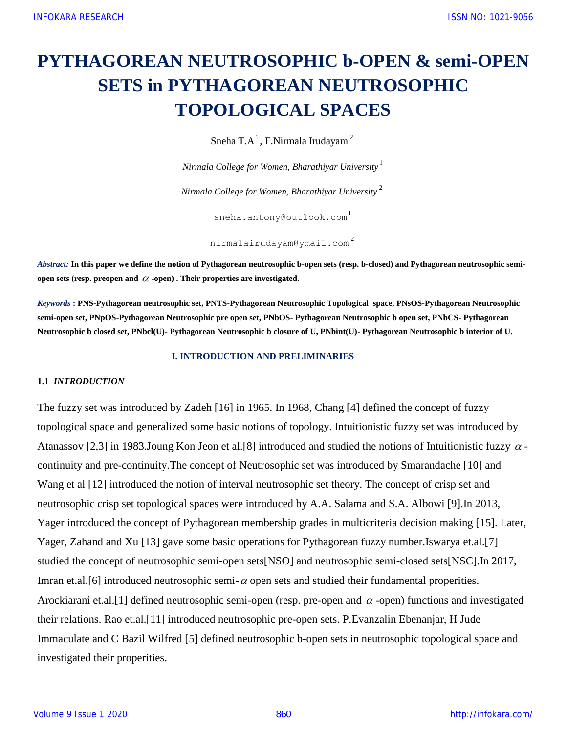# **PYTHAGOREAN NEUTROSOPHIC b-OPEN & semi-OPEN SETS in PYTHAGOREAN NEUTROSOPHIC TOPOLOGICAL SPACES**

Sneha T.A $^1$ , F.Nirmala Irudayam $^2$ 

*Nirmala College for Women, Bharathiyar University* 1

*Nirmala College for Women, Bharathiyar University* 2

sneha.antony@outlook.com<sup>1</sup>

nirmalairudayam@ymail.com 2

*Abstract:* **In this paper we define the notion of Pythagorean neutrosophic b-open sets (resp. b-closed) and Pythagorean neutrosophic semi**open sets (resp. preopen and  $\alpha$  -open). Their properties are investigated.

*Keywords* **: PNS-Pythagorean neutrosophic set, PNTS-Pythagorean Neutrosophic Topological space, PNsOS-Pythagorean Neutrosophic semi-open set, PNpOS-Pythagorean Neutrosophic pre open set, PNbOS- Pythagorean Neutrosophic b open set, PNbCS- Pythagorean Neutrosophic b closed set, PNbcl(U)- Pythagorean Neutrosophic b closure of U, PNbint(U)- Pythagorean Neutrosophic b interior of U.**

#### **I. INTRODUCTION AND PRELIMINARIES**

#### **1.1** *INTRODUCTION*

The fuzzy set was introduced by Zadeh [16] in 1965. In 1968, Chang [4] defined the concept of fuzzy topological space and generalized some basic notions of topology. Intuitionistic fuzzy set was introduced by Atanassov [2,3] in 1983. Joung Kon Jeon et al. [8] introduced and studied the notions of Intuitionistic fuzzy  $\alpha$  continuity and pre-continuity.The concept of Neutrosophic set was introduced by Smarandache [10] and Wang et al [12] introduced the notion of interval neutrosophic set theory. The concept of crisp set and neutrosophic crisp set topological spaces were introduced by A.A. Salama and S.A. Albowi [9].In 2013, Yager introduced the concept of Pythagorean membership grades in multicriteria decision making [15]. Later, Yager, Zahand and Xu [13] gave some basic operations for Pythagorean fuzzy number.Iswarya et.al.[7] studied the concept of neutrosophic semi-open sets[NSO] and neutrosophic semi-closed sets[NSC].In 2017, Imran et.al. [6] introduced neutrosophic semi- $\alpha$  open sets and studied their fundamental properities. Arockiarani et.al.[1] defined neutrosophic semi-open (resp. pre-open and  $\alpha$ -open) functions and investigated their relations. Rao et.al.[11] introduced neutrosophic pre-open sets. P.Evanzalin Ebenanjar, H Jude Immaculate and C Bazil Wilfred [5] defined neutrosophic b-open sets in neutrosophic topological space and investigated their properities.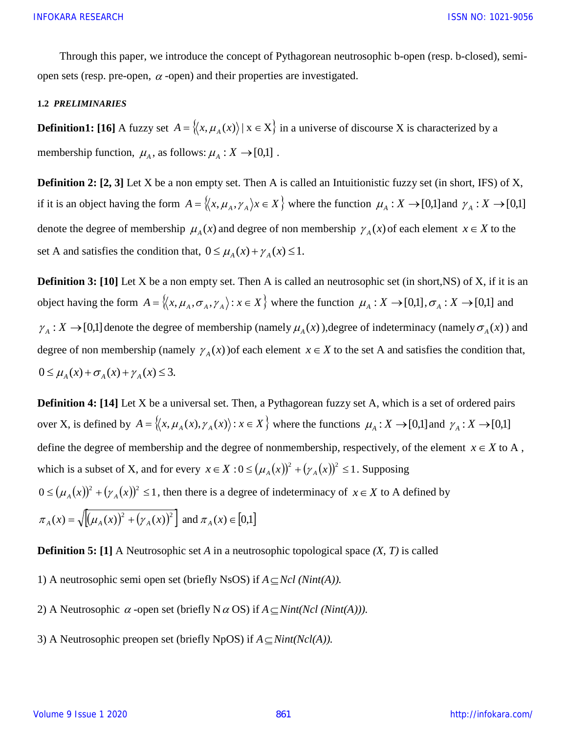Through this paper, we introduce the concept of Pythagorean neutrosophic b-open (resp. b-closed), semiopen sets (resp. pre-open,  $\alpha$ -open) and their properties are investigated.

#### **1.2** *PRELIMINARIES*

**Definition1:** [16] A fuzzy set  $A = \langle x, \mu_A(x) \rangle | x \in X \rangle$  in a universe of discourse X is characterized by a membership function,  $\mu_A$ , as follows:  $\mu_A : X \to [0,1]$ .

**Definition 2:** [2, 3] Let X be a non empty set. Then A is called an Intuitionistic fuzzy set (in short, IFS) of X, if it is an object having the form  $A = \langle x, \mu_A, \gamma_A \rangle x \in X \rangle$  where the function  $\mu_A : X \to [0,1]$  and  $\gamma_A : X \to [0,1]$ denote the degree of membership  $\mu_A(x)$  and degree of non membership  $\gamma_A(x)$  of each element  $x \in X$  to the set A and satisfies the condition that,  $0 \le \mu_A(x) + \gamma_A(x) \le 1$ .

**Definition 3:** [10] Let X be a non empty set. Then A is called an neutrosophic set (in short,NS) of X, if it is an object having the form  $A = \{(x, \mu_A, \sigma_A, \gamma_A) : x \in X\}$  where the function  $\mu_A : X \to [0,1], \sigma_A : X \to [0,1]$  and  $\gamma_A : X \to [0,1]$  denote the degree of membership (namely  $\mu_A(x)$ ), degree of indeterminacy (namely  $\sigma_A(x)$ ) and degree of non membership (namely  $\gamma_A(x)$ ) of each element  $x \in X$  to the set A and satisfies the condition that,  $0 \leq \mu_A(x) + \sigma_A(x) + \gamma_A(x) \leq 3.$ 

**Definition 4: [14]** Let X be a universal set. Then, a Pythagorean fuzzy set A, which is a set of ordered pairs over X, is defined by  $A = \langle x, \mu_A(x), \gamma_A(x) \rangle : x \in X \rangle$  where the functions  $\mu_A : X \to [0,1]$  and  $\gamma_A : X \to [0,1]$ define the degree of membership and the degree of nonmembership, respectively, of the element  $x \in X$  to A, which is a subset of X, and for every  $x \in X : 0 \le (\mu_A(x))^2 + (\gamma_A(x))^2 \le 1$ . Supposing  $0 \leq (\mu_A(x))^2 + (\gamma_A(x))^2 \leq 1$ , then there is a degree of indeterminacy of  $x \in X$  to A defined by  $\pi_A(x) = \sqrt{\left[ (\mu_A(x))^2 + (\gamma_A(x))^2 \right]}$  and  $\pi_A(x) \in [0,1]$ 

**Definition 5: [1]** A Neutrosophic set *A* in a neutrosophic topological space *(X, T)* is called

- 1) A neutrosophic semi open set (briefly NsOS) if  $A \subseteq$  *Ncl (Nint(A))*.
- 2) A Neutrosophic  $\alpha$ -open set (briefly N  $\alpha$  OS) if  $A \subseteq Nint(Ncl(Nint(A))).$
- 3) A Neutrosophic preopen set (briefly NpOS) if  $A \subseteq Nint(Ncl(A))$ .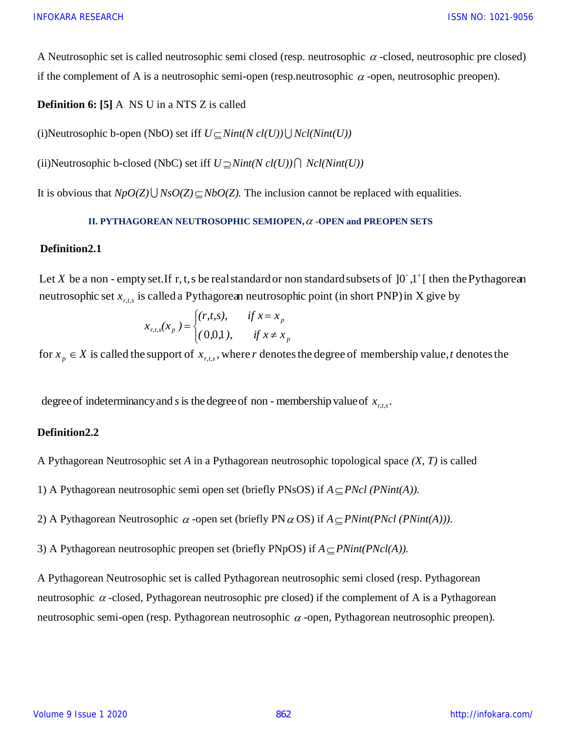A Neutrosophic set is called neutrosophic semi closed (resp. neutrosophic  $\alpha$  -closed, neutrosophic pre closed) if the complement of A is a neutrosophic semi-open (resp.neutrosophic  $\alpha$ -open, neutrosophic preopen).

**Definition 6:** [5] A NS U in a NTS Z is called

(i)Neutrosophic b-open (NbO) set iff  $U \subseteq Nint(N \, cl(U)) \bigcup Ncl(Nint(U))$ 

(ii)Neutrosophic b-closed (NbC) set iff  $U \supseteq Nint(N \, cl(U)) \bigcap N \, cl(Nint(U))$ 

It is obvious that  $NpO(Z) \cup NsO(Z) \subseteq NbO(Z)$ . The inclusion cannot be replaced with equalities.

#### **II. PYTHAGOREAN NEUTROSOPHIC SEMIOPEN,**  $\alpha$  **-OPEN and PREOPEN SETS**

#### **Definition2.1**

neutrosophic set  $x_{r,t,s}$  is called a Pythagorean neutrosophic point (in short PNP) in X give by II. PYTHAGOREAN NEUTROSOPHIC SEMIOPEN,  $\alpha$  -OPEN and PREOPEN SETS<br>Definition2.1<br>Let X be a non - empty set.If r, t, s be real standard or non standard subsets of  $]0^{\circ},1^{\circ}[$  then the Pythagorean<br>neutrosophic set x is c *X* be a non-empty set. If r, t, s be real standard or non standard subsets of  $]0^{\circ},1^{\circ}$ 

$$
x_{r,t,s}(x_p) = \begin{cases} (r,t,s), & \text{if } x = x_p \\ (0,0,1), & \text{if } x \neq x_p \end{cases}
$$

for  $x_n \in X$  is called the support of  $x_{rts}$ , where r denotes the degree of membership value, t denotes the trosophic set  $x_{r,t,s}$  is called a Pythagorean neutrosophic point (in short PNP) in X give b<br>  $x_{r,t,s}(x_p) = \begin{cases} (r,t,s), & \text{if } x = x_p \\ (0,0,1), & \text{if } x \neq x_p \end{cases}$ <br>  $x_p \in X$  is called the support of  $x_{r,t,s}$ , where *r* denotes the deg  $p_p \in X$  is called the support of  $x_{r,t,s}$ 

degree of indeterminancy and s is the degree of non - membership value of  $x_{n,t,s}$ .

## **Definition2.2**

A Pythagorean Neutrosophic set *A* in a Pythagorean neutrosophic topological space *(X, T)* is called

1) A Pythagorean neutrosophic semi open set (briefly PNsOS) if  $A \subseteq PNcl$  (*PNint(A)*).

2) A Pythagorean Neutrosophic  $\alpha$ -open set (briefly PN $\alpha$  OS) if  $A \subseteq PNint(PNcl(PNint(A)))$ .

3) A Pythagorean neutrosophic preopen set (briefly PNpOS) if  $A \subseteq PNint(PNcl(A))$ .

A Pythagorean Neutrosophic set is called Pythagorean neutrosophic semi closed (resp. Pythagorean neutrosophic  $\alpha$ -closed, Pythagorean neutrosophic pre closed) if the complement of A is a Pythagorean neutrosophic semi-open (resp. Pythagorean neutrosophic  $\alpha$ -open, Pythagorean neutrosophic preopen).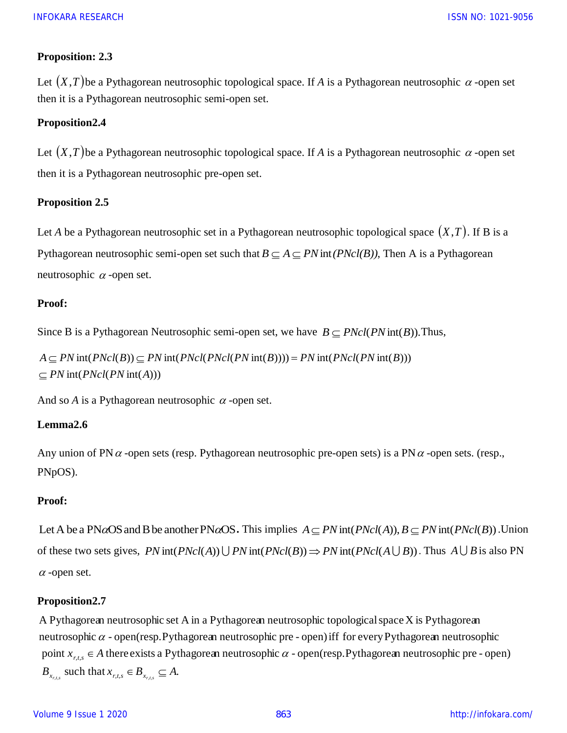## **Proposition: 2.3**

Let  $(X, T)$  be a Pythagorean neutrosophic topological space. If *A* is a Pythagorean neutrosophic  $\alpha$  -open set then it is a Pythagorean neutrosophic semi-open set.

## **Proposition2.4**

Let  $(X, T)$  be a Pythagorean neutrosophic topological space. If *A* is a Pythagorean neutrosophic  $\alpha$  -open set then it is a Pythagorean neutrosophic pre-open set.

## **Proposition 2.5**

Let *A* be a Pythagorean neutrosophic set in a Pythagorean neutrosophic topological space  $(X, T)$ . If B is a Pythagorean neutrosophic semi-open set such that  $B \subseteq A \subseteq PN$  int(*PNcl(B))*, Then A is a Pythagorean neutrosophic  $\alpha$ -open set.

#### **Proof:**

Since B is a Pythagorean Neutrosophic semi-open set, we have  $B \subseteq \text{PNcl}(\text{PN}\text{int}(B))$ . Thus,

 $\subseteq$  *PN* int( *PNcl*(*PN* int(*A*)))  $A \subseteq PN$  int( $PNcl(B)$ )  $\subseteq PN$  int( $PNcl(PNcl(PN$  int(B)))) =  $PN$  int( $PNcl(PN$  int(B)))

And so  $A$  is a Pythagorean neutrosophic  $\alpha$ -open set.

## **Lemma2.6**

Any union of PN $\alpha$ -open sets (resp. Pythagorean neutrosophic pre-open sets) is a PN $\alpha$ -open sets. (resp., PNpOS).

## **Proof:**

Let A be a PN $\alpha$ OS and B be another PN $\alpha$ OS. This implies  $A \subseteq PN$  int( $PNcl(A)$ ),  $B \subseteq PN$  int( $PNcl(B)$ ). Union of these two sets gives,  $PN$  int( $PNcl(A)$ )  $\bigcup PN$  int( $PNcl(B)$ )  $\Rightarrow PN$  int( $PNcl(A \cup B)$ ). Thus  $A \cup B$  is also PN  $\alpha$ -open set.

#### **Proposition2.7**

 $B_{x_{r,t,s}}$  such that  $x_{r,t,s} \in B_{x_{r,t,s}} \subseteq A$ . point  $x_{r,t,s} \in A$  there exists a Pythagorean neutrosophic  $\alpha$  - open(resp. Pythagorean neutrosophic pre - open) neutrosophic  $\alpha$  - open(resp. Pythagorean neutrosophic pre - open) iff for every Pythagorean neutrosophic A Pythagorean neutrosophic set A in a Pythagorean neutrosophic topological space  $X$  is Pythagorean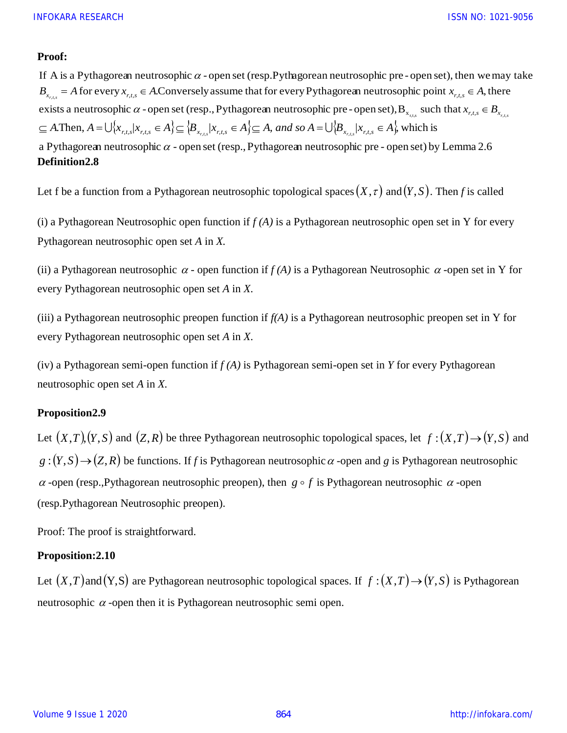## **Proof:**

exists a neutrosophic  $\alpha$  - open set (resp., Pythagorean neutrosophic pre - open set),  $B_{x_{r,t,s}}$  such that  $x_{r,t,s} \in B_{x_{r,t,s}}$  $B_{x_{r,t,s}} = A$  for every  $x_{r,t,s} \in A$ . Conversely assume that for every Pythagorean neutrosophic point  $x_{r,t,s} \in A$ , there If A is a Pythagorean neutrosophic  $\alpha$  - open set (resp. Pythagorean neutrosophic pre-open set), then we may take dhi $\frac{x_{r,t,s}}$  $\alpha$  $\subseteq A$ . Then,  $A = \bigcup \{x_{r,t,s}/x_{r,t,s} \in A\} \subseteq \{B_{x_{r,t,s}}/x_{r,t,s} \in A\} \subseteq A$ , and so  $A = \bigcup \{B_{x_{r,t,s}}/x_{r,t,s} \in A\}$ , which is a Pythagorean neutrosophic  $\alpha$  - open set (resp., Pythagorean neutrosophic pre - open set) by Lemma 2.6 *A* is a Pythagorean neutrosophic  $\alpha$  - open set (resp. Pythagorean neutrosophic p<br>  $\alpha$  = *A* for every  $x_{r,t,s} \in A$ . Conversely assume that for every Pythagorean neutros<br>
ists a neutrosophic  $\alpha$  - open set (resp., Pyth

#### **Definition2.8**

Let f be a function from a Pythagorean neutrosophic topological spaces  $(X, \tau)$  and  $(Y, S)$ . Then *f* is called

(i) a Pythagorean Neutrosophic open function if *f (A)* is a Pythagorean neutrosophic open set in Y for every Pythagorean neutrosophic open set *A* in *X.*

(ii) a Pythagorean neutrosophic  $\alpha$  - open function if  $f(A)$  is a Pythagorean Neutrosophic  $\alpha$  -open set in Y for every Pythagorean neutrosophic open set *A* in *X*.

(iii) a Pythagorean neutrosophic preopen function if *f(A)* is a Pythagorean neutrosophic preopen set in Y for every Pythagorean neutrosophic open set *A* in *X*.

(iv) a Pythagorean semi-open function if *f (A)* is Pythagorean semi-open set in *Y* for every Pythagorean neutrosophic open set *A* in *X.*

## **Proposition2.9**

Let  $(X, T), (Y, S)$  and  $(Z, R)$  be three Pythagorean neutrosophic topological spaces, let  $f : (X, T) \rightarrow (Y, S)$  and  $g:(Y, S) \rightarrow (Z, R)$  be functions. If *f* is Pythagorean neutrosophic  $\alpha$  -open and *g* is Pythagorean neutrosophic  $\alpha$ -open (resp., Pythagorean neutrosophic preopen), then  $g \circ f$  is Pythagorean neutrosophic  $\alpha$ -open (resp.Pythagorean Neutrosophic preopen).

Proof: The proof is straightforward.

## **Proposition:2.10**

Let  $(X, T)$  and  $(Y, S)$  are Pythagorean neutrosophic topological spaces. If  $f : (X, T) \rightarrow (Y, S)$  is Pythagorean neutrosophic  $\alpha$ -open then it is Pythagorean neutrosophic semi open.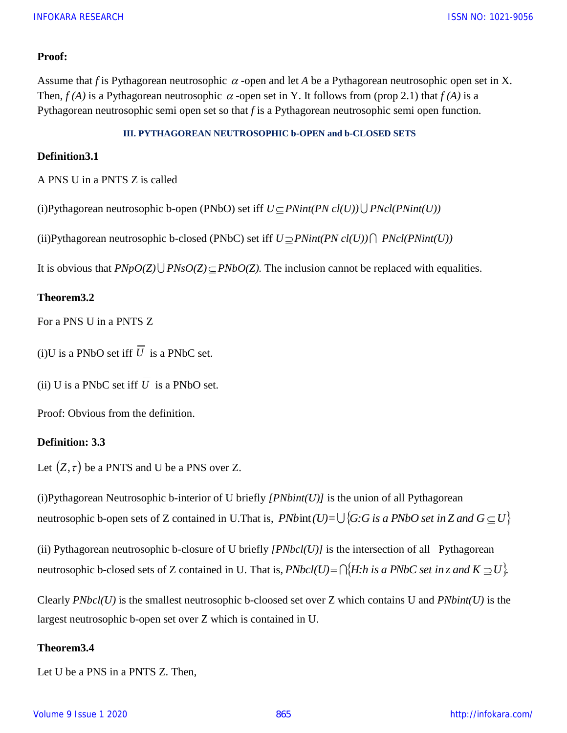#### **Proof:**

Assume that *f* is Pythagorean neutrosophic  $\alpha$ -open and let *A* be a Pythagorean neutrosophic open set in X. Then,  $f(A)$  is a Pythagorean neutrosophic  $\alpha$ -open set in Y. It follows from (prop 2.1) that  $f(A)$  is a Pythagorean neutrosophic semi open set so that *f* is a Pythagorean neutrosophic semi open function.

#### **III. PYTHAGOREAN NEUTROSOPHIC b-OPEN and b-CLOSED SETS**

#### **Definition3.1**

A PNS U in a PNTS Z is called

(i)Pythagorean neutrosophic b-open (PNbO) set iff  $U \subseteq PNint(PN \cdot cl(U)) \bigcup PNcl(PNint(U))$ 

(ii)Pythagorean neutrosophic b-closed (PNbC) set iff  $U \supseteq PNint(PN \cdot cl(U)) \cap PNcl(PNint(U))$ 

It is obvious that  $P N p O(Z) \cup P N s O(Z) \subseteq P N b O(Z)$ . The inclusion cannot be replaced with equalities.

## **Theorem3.2**

For a PNS U in a PNTS Z

 $(i)$ U is a PNbO set iff U is a PNbC set.

(ii) U is a PNbC set iff  $U$  is a PNbO set.

Proof: Obvious from the definition.

#### **Definition: 3.3**

Let  $(Z, \tau)$  be a PNTS and U be a PNS over Z.

(i)Pythagorean Neutrosophic b-interior of U briefly *[PNbint(U)]* is the union of all Pythagorean neutrosophic b-open sets of Z contained in U.That is,  $PNb$  int $(U)=\bigcup \{G:G \text{ is a } PNbO \text{ set in } Z \text{ and } G \subseteq U\}$ 

(ii) Pythagorean neutrosophic b-closure of U briefly  $[PNbcl(U)]$  is the intersection of all Pythagorean neutrosophic b-closed sets of Z contained in U. That is,  $PNbcl(U) = \bigcap \{H:h \text{ is a }PNbC \text{ set in } z \text{ and } K \supseteq U\}$ .

Clearly *PNbcl(U)* is the smallest neutrosophic b-cloosed set over Z which contains U and *PNbint(U)* is the largest neutrosophic b-open set over Z which is contained in U.

## **Theorem3.4**

Let U be a PNS in a PNTS Z. Then,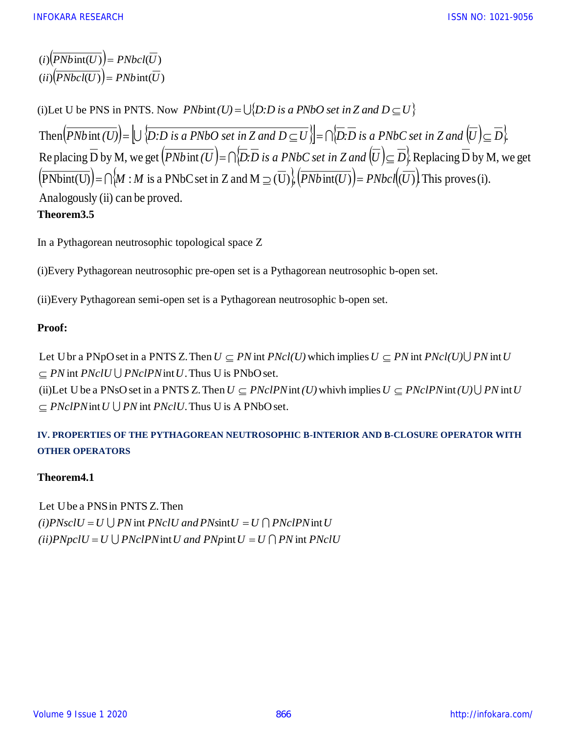$(i)$  $(PNbint(U)) = PNbcl(U)$  $(i)$   $(PNbcl(U)) = PNb$  int(*U*)

(i)Let U be PNS in PNTS. Now  $PNbint(U) = \bigcup \{D:D \text{ is a } PNbO \text{ set in } Z \text{ and } D \subseteq U\}$ Then  $(PNb$  int  $(U)$   $=$   $\bigcup \{D:D \text{ is a } PNbO \text{ set in } Z \text{ and } D \subseteq U\}$   $=$   $\bigcap \{D:D \text{ is a } PNbC \text{ set in } Z \text{ and } U \subseteq D\}$ . Re placing D by M, we get  $(PNbint(U)=\bigcap D:D$  is a PNbC set in Z and  $[U]\subseteq D$  Replacing D by M, we get  $\text{PNbint}(U)$  =  $\bigcap M : M$  is a PNbC set in Z and M  $\supseteq$  (U)  $\bigcup_{i}$   $\text{PNbint}(U)$  = PNbcl(U) This proves (i). Analogously (ii) can be proved. **Theorem3.5**

In a Pythagorean neutrosophic topological space Z

(i)Every Pythagorean neutrosophic pre-open set is a Pythagorean neutrosophic b-open set.

(ii)Every Pythagorean semi-open set is a Pythagorean neutrosophic b-open set.

## **Proof:**

int  $PNclU \bigcup PNclPN$  int U. Thus U is PNbO set. Let Ubr a PNpO set in a PNTS Z. Then  $U \subseteq PN$  int  $PNcl(U)$  which implies  $U \subseteq PN$  int  $PNcl(U) \cup PN$  int *PN PNpO set in a PNTS Z*<br> *PN int PNclU*  $\bigcup$  *PNclPN int U*<br> *PNclPN int U*  $\bigcup$  *PN int PNclU*  $\subseteq$  *PN* int *PNcl(U)* which implies  $U \subseteq PN$  int *PNcl(U)* $\bigcup$  *PN* int *U* <br>s PNbO set.<br> $U \subseteq PNclPN$  int *(U)* whivh implies  $U \subseteq PNclPN$  int *(U)* $\bigcup$  *PN* int *U* s A PNbO set. **Proposed in a PNTS Z**<br>*PN* int *PNclU∪ PNclPN* int *U*<br>PLet U be a PNsO set in a PNT a Pythagorean neutrosophic b-open set.<br>  $U \subseteq PN$  int  $PNcl(U)$  which implies  $U \subseteq PN$  int  $PNcl(U) \cup PN$  int  $U$ <br>
U is PNbO set.  $\subseteq PN$  int  $PNclU \cup$  $\subseteq PN$  int  $PNcl(U)$  which implies  $U \subseteq PN$  int  $PNcl(U) \cup$ 

 $\subseteq PNclPN$  int  $U \cup PN$  int  $PNclU$ . Thus U is A PNbO set. (ii)Let U be a PNsO set in a PNTS Z. Then  $U \subseteq PNclPN$  int (U) whivh implies  $U \subseteq PNclPN$  int  $(U) \cup PN$  int  $\subseteq \text{PNCIPNint}(U)$  whivh implies  $U \subseteq \text{PNCIPNint}(U) \cup$ 

# **IV. PROPERTIES OF THE PYTHAGOREAN NEUTROSOPHIC B-INTERIOR AND B-CLOSURE OPERATOR WITH OTHER OPERATORS**

## **Theorem4.1**

*(ii)PNpclU* =  $U \bigcup P N c l P N$  *int U* and  $P N p$  *int U* =  $U \bigcap P N$  *int PNclU*  $(i) PNsclU = U \bigcup PN$  int  $PNclU$  and  $PNsintU = U \bigcap PNclPN$  int U Let Ube a PNSin PNTS Z.Then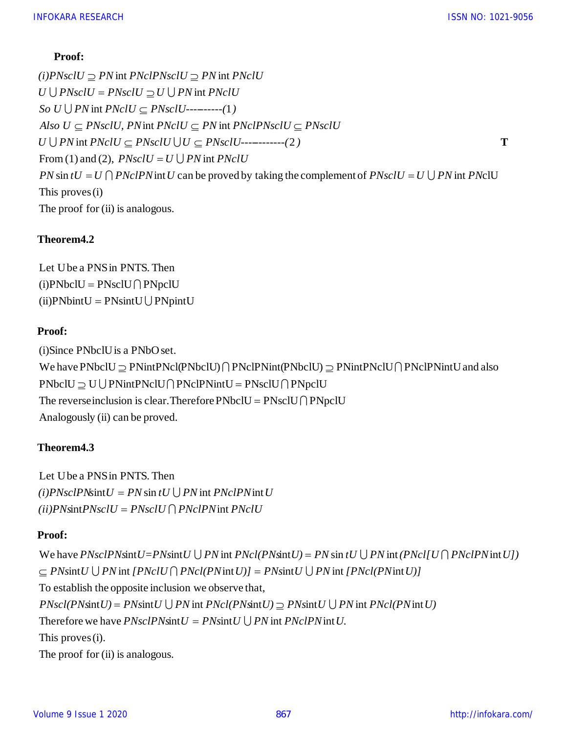## **Proof:**

The proof for (ii) is analogous. This proves(i)  $\sin tU = U \bigcap \text{PNCIPN}$  int U can be proved by taking the complement of  $\text{PNscl}U = U \bigcup \text{PN}$  int  $\text{PNCIU}$ From (1) and (2),  $PNsclU = U \bigcup PN$  int  $\bigcup PN$  int  $\mathit{PNclU} \subseteq \mathit{PNsclU} \cup \mathit{U} \subseteq \mathit{PNsclU}$ -----------(2 int  $PNclU \subseteq \overline{PN}$  int  $\bigcup PN$  int  $\text{PN}$ cl $U \subseteq \text{PN}$ scl $U$ ---------(1 int int  $\textit{PN}$ cl $\textit{PN}$ scl $U \supseteq \textit{PN}$  int *Also U*  $\subseteq$  *PNsclU, PN* int *PNclU*  $\subseteq$  *PN* int *PNclPNsclU*  $\subseteq$  *PNsclU*<br>*U*  $\cup$  *PN* int *PNclU*  $\subseteq$  *PNsclU*  $\cup$  *U*  $\subseteq$  *PNsclU*------------(2)<br>From (1) and (2), *PNsclU* = *U*  $\cup$  *PN* int *PNclU*<br>*PN* sin  $VcIU \subseteq PNsclU$ ---------(1)<br> *U*,  $PN$  int  $PNcIU \subseteq PN$  int  $PNNU \subseteq PNsclU \cup U \subseteq PNsclU - PNsclU = U \cup PN$  int  $PNclU$ <br>  $PNclPN$  int  $U$  can be proved by *U*  $\bigcup$  *PNsclU* = *PNsclU*  $\supseteq U \bigcup$  *PN* int *PNclU*<br> *So U*  $\bigcup$  *PN* int *PNclU*  $\subseteq$  *PNsclU*----------(1)<br> *Also U*  $\subseteq$  *PNsclU*, *PN* int *PNclU*  $\subseteq$  *PN* int *PNclPNsclU*  $\subseteq$ <br> *U*  $\bigcup$  *PN* int *PNclU*  $\subseteq$  $\begin{aligned} &\text{(i)}\text{P}NsclU \supseteq \text{P}N\text{ int}\text{P}NclPNsclU \supseteq \text{P}N\text{ int}\text{P}NclU\\ &\text{U}\bigcup \text{P}NsclU = \text{P}NsclU \supseteq \text{U}\bigcup \text{P}N\text{ int}\text{P}NclU\\ &\text{So}\text{ }U\bigcup \text{P}N\text{ int}\text{P}NclU \subseteq \text{P}NsclU \text{-}\text{-}\text{-}\text{-}\text{-}\text{-}\text{-}(1)\\ &\text{Also}\text{ }U \subseteq \text{P}NsclU,\text{P}N$ **Proof:**<br> *(i)PNsclU*  $\supseteq$  *PN* int *PNclPNsclU*  $\supseteq$  *PN* int *PNclU*<br> *So U*  $\bigcup$  *PN* int *PNclU*  $\subseteq$  *PNsclU*----------(1)<br> *Also II*  $\subset$  *PNsclII PN* int *PNclII*  $\subset$  *PN* int *P* **Proof:**<br> *(i)PNsclU*  $\supseteq$  *PN* int *PNclPNsclU*  $\supseteq$  *PN* int *P*<br> *U*  $\bigcup$  *PNsclU* = *PNsclU*  $\supseteq$  *U*  $\bigcup$  *PN* int *PNclU*<br> *So II* | *PN* int *PNclII*  $\subset$  *PNsclII*---------(1)  $\begin{aligned} \textbf{Proof:} \ \textit{(i)PNsclU} &\supseteq \textit{PN}\ \textit{int} &\supseteq \textit{PN} \textit{int} \ \textit{PNsclU} &\supseteq \textit{PN}\ \textit{int} &\textbf{PNsclU} &\supseteq \textit{PNsclU} \end{aligned}$  $=$  U  $\bigcap$  *PNcIPN* int U can be proved by taking the complement of *PNscIU* = U  $\bigcup$  $\bigcup \mathit{P}NsclU = \mathit{P}NsclU \supseteq U \bigcup$  $\subseteq$  *PNsclU, PN* int *PNclU*  $\subseteq$  *PN* int *PNclPNsclU*  $\subseteq$  $\supseteq$  PN int PNclPNsclU  $\supseteq$ **T**

## **Theorem4.2**

 $(ii)$ PNbint $U =$ PNsint $U \cup$ PNpint $U$  $(i)$ PNbclU = PNsclU $\bigcap$ PNpclU Let Ube a PNSin PNTS. Then

## **Proof:**

Analogously (ii) can be proved. The reverse inclusion is clear. Therefore  $\text{PNbclU} = \text{PNsclU} \cap \text{PNpclU}$  $\text{PNbclU} \supseteq U \bigcup \text{PNint} \text{PNcIPNintU} = \text{PNsclU} \bigcap \text{PNpclU}$ Proof:<br>(i)Since PNbclU is a PNbO set.<br>We have PNbclU ⊇ PNintPNcl(PNbclU) ∩ PNclPNint(PNbclU) ⊇ PNintPNclU∩ PNclPNintU and also<br>PNbclU ⊃ U | PNintPNclU O PNclPNintU = PNsclU O PNpclU (i)Since PNbclUis a PNbOset.  $\supseteq$  PNintPNcl(PNbclU)  $\bigcap$  PNclPNint(PNbclU)  $\supseteq$  PNintPNclU $\bigcap$ 

# **Theorem4.3**

 $(iii)$ PNsintPNsclU = PNsclU  $\bigcap$  PNclPN int PNclU  $(i) PNsclPN\text{sin}tU = PN\text{sin }tU\bigcup PN\text{int }PNclPN\text{int }U$ Let Ube a PNSin PNTS. Then

# **Proof:**

The proof for (ii) is analogous. This proves (i). Therefore we have  $PNsclPN\text{sin}tU = PN\text{sin}tU \bigcup PN\text{sin}t PNclPN\text{int}$  $\text{int } U$ ) = PNsint  $U \cup PN$  int  $PNcl(PN\text{sin}tU) \supseteq PN\text{sin}t U \cup PN$  int  $PNcl(PN\text{sin}t)$ To establish the opposite inclusion we observe that,  $int U \bigcup PN$  int  $[PNclU \bigcap PNCI(PN)$  int  $U] = PN$ sint  $U \bigcup PN$  int  $[PNcl(PN)$  int (*ii*) *PNscltPNsclU = PNsclU*  $\bigcap$  *PNclPN* int *PNclU*<br> **Proof:**<br>
We have *PNsclPNsintU=PNsintU*  $\bigcup$  *PN* int *PNcl(PNsintU) = PN sin tU*  $\bigcup$  *PN* int (*PNcl[U* $\bigcap$  *PNclPN* int *U*])<br>  $\bigcap$  *PNsintII*  $\bigcup$  *PN nt*  $[PNc] \cap PNcl(PNint U)] = PNsint U \cup PNint$ <br>posite inclusion we observe that,<br> $PNsint U \cup PN int PNcl(PNint U) \supseteq PNsint U \cup P.$ <br> $PNsclPNint U = PNsint U \cup PN int PNclPNint U.$ *We have PNsclPNsintU=PNsintU*  $\cup$  *PN* int *PNcl(PNsintU) = PN sin tU*  $\cup$  *PN int (PNcl[L*]<br>  $\subseteq$  *PNsintU*  $\cup$  *PN* int *[PNclU*  $\cap$  *PNcl(PNintU)] = PNsintU*  $\cup$  *PN* int *[PNcl(PNintU)]*<br> *To establish the oppos POSILE PNSCLO = P NSCLO | | P NCLP N* **int** *P NCLO***<br>
<b>POSICE** <br> **PNs PNs EXECUPINE PNS D**  $P$  **N DN DN PNC**  $P$  **PNs PNS D**  $P$  **DN D PN D PN D PNs D D PN D D PN D D PN D**  $=$  PNsint  $U \cup$  $= P N \sin t U \cup P N \sin t P N c l (P N \sin t U) \supseteq P N \sin t U$  $\subseteq$  PNsint U  $\cup$  PN int [PNclU  $\cap$  PNcl(PN int U)] = PNsint U  $\cup$  $\bigcup PN$  int  $\mathit{PNcl}(\mathit{PN}\text{sin}tU) = \mathit{PN}\text{sin}tU \bigcup \mathit{PN}\text{int}(\mathit{PN}cl[U\bigcap$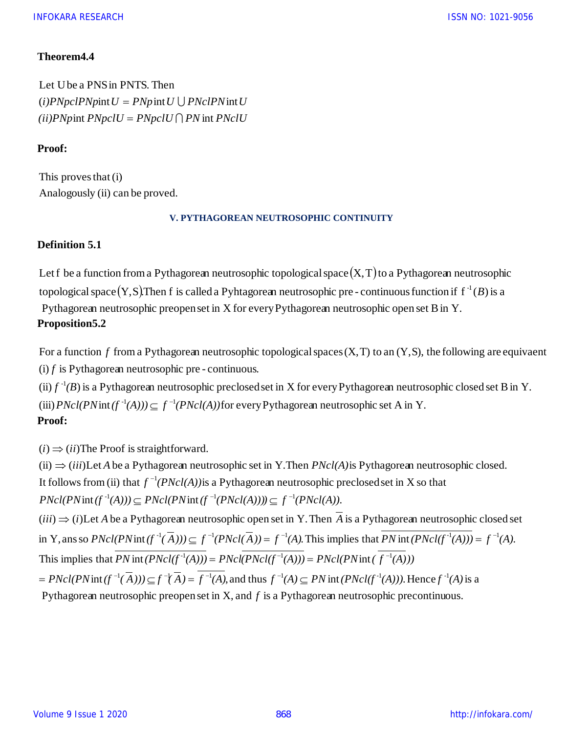## **Theorem4.4**

 $(iii) P N$ pint  $P N p c l U = P N p c l U \bigcap P N$  int  $P N c l U$  $(i) PNPclPN$ *p* int  $U = PNp$  int  $U \cup PNclPN$  int  $U$ Let Ube a PNSin PNTS. Then

## **Proof:**

Analogously (ii) can be proved. This proves that (i)

#### **V. PYTHAGOREAN NEUTROSOPHIC CONTINUITY**

## **Definition 5.1**

Let f be a function from a Pythagorean neutrosophic topological space  $(X,T)$  to a Pythagorean neutrosophic topological space  $(Y, S)$ . Then f is called a Pyhtagorean neutrosophic pre - continuous function if  $f^{-1}(B)$  is a Pythagorean neutrosophic preopen set in X for every Pythagorean neutrosophic open set Bin Y. **Proposition5.2** topological space  $(Y, S)$ . Then f is called a Pyhtagorean neutrosophic pre-continuous function if  $f^{-1}(B)$  is a<br>Pythagorean neutrosophic preopen set in X for every Pythagorean neutrosophic open set B in Y.<br>Proposition 5.2<br>

 $(i)$  *f* is Pythagorean neutrosophic pre - continuous. *f*

(iii)  $PNcl(PNint(f^{-1}(A))) \subseteq f^{-1}(PNcl(A))$  for every Pythagorean neutrosophic set A in Y. (ii)  $f^{-1}(B)$  is a Pythagorean neutrosophic preclosed set in X for every Pythagorean neutrosophic closed set B in Y. **Proof:**

 $(i) \Rightarrow (ii)$ The Proof is straightforward.

 $(iii) \Rightarrow (iii)$ Let A be a Pythagorean neutrosophic set in Y.Then  $PNcl(A)$  is Pythagorean neutrosophic closed. Pythagorean neutrosophic preopen set in  $X$ , and  $f$  is a Pythagorean neutrosophic precontinuous.  $\text{int}(f^{-1}(\overline{A}))) \subseteq f^{-1}(\overline{A}) = f^{-1}(A)$ , and thus  $f^{-1}(A) \subseteq PN$  int  $(PNcl(f^{-1}(A)))$ . Hence  $f^{-1}(A)$  is a This implies that *PN* int(*PNcl*( $f^{-1}(A)$ )) = *PNcl*( $PNcl(f^{-1}(A))$ ) =  $PNcl(PNint (f^{-1}(A)))$ in Y, ans so  $PNcl(PNint(f^{-1}(\overline{A}))) \subseteq f^{-1}(PNcl(\overline{A})) = f^{-1}(A)$ . This implies that  $PN$  int  $(PNcl(f^{-1}(A))) = f^{-1}$  $(iii) \Rightarrow (i)$  Let A be a Pythagorean neutrosophic open set in Y. Then A is a Pythagorean neutrosophic closed set  $PNcl(PNint(f^{-1}(A))) \subseteq PNcl(PNint(f^{-1}(PNcl(A)))) \subseteq f^{-1}(PNcl(A)).$ It follows from (ii) that  $f^{-1}(PNcl(A))$  is a Pythagorean neutrosophic preclosed set in X so that *PHREE A* be a Pythagorean neutrosophic open set in Y. Then *A* is a Pythagorean neutrosop<br> *Y*, ans so *PNcl(PNint(f<sup>-1</sup>(A)))*  $\subseteq f^{-1}(PNcl(\overline{A})) = f^{-1}(A)$ . This implies that  $\overline{PN}$  int  $(PNcl(f^{-1}(A)))$ <br>
is implies that  $\overline{PN}$ *PNcl(PNint (f<sup>-1</sup>(PNcl(A)))*)  $\subseteq$   $f^{-1}(PNcl(A))$ .<br> *e* a Pythagorean neutrosophic open set in Y. Then  $\overline{A}$  is a Pythagorean  $(PNint(f^{-1}(\overline{A}))) \subseteq f^{-1}(PNcl(\overline{A})) = f^{-1}(A)$ . This implies that  $\overline{PN}$  int ( $\overline{PN}$  int  $(PNcl(f^{-1}(A$ *PNcl(A))*  $\leq$  *PNcl(PNint(f<sup>-1</sup>(PNcl(A)))*  $\leq$  *f*<sup>-1</sup>(*PNcl(A))*.<br> *et A be a Pythagorean neutrosophic open set in Y. Then*  $\overline{A}$  *is a Pythagorean neutrosophic closed set <i>PNcl(PNint(f<sup>-1</sup>(* $\overline{A}$ *))*  $\leq f^{-1}(PNcl(\$  $F = PNcl(PNint(f^{-1}(\overline{A}))) \subseteq f^{-1}(\overline{A}) = f^{-1}(A)$ , and thus  $f^{-1}(A) \subseteq PNint(PNcl(f^{-1}(A)))$ . Hence  $f^{-1}(A)$  $f^{-1}(\overline{A})) \subseteq f^{-1}(PNcl(\overline{A})) = f^{-1}(A)$ . This implies that  $PN$  int  $(PNcl(f^{-1}(A))) = f^{-1}(A)$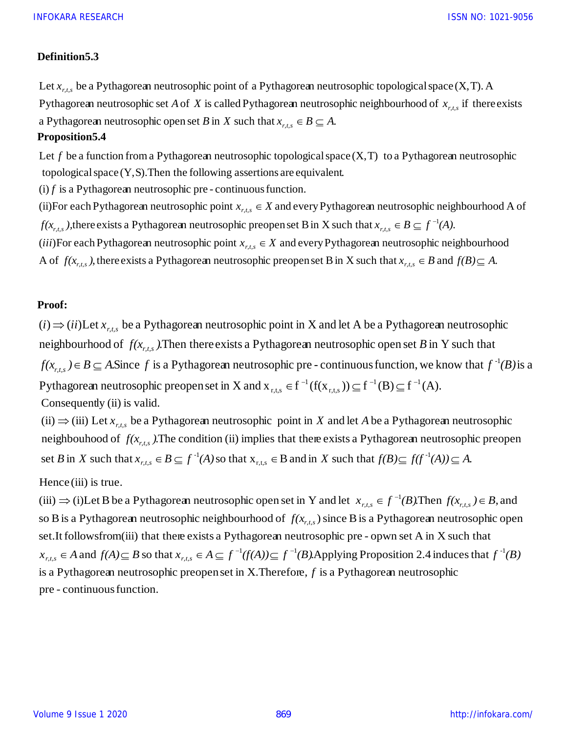#### **Definition5.3**

Pythagorean neutrosophic set *A* of *X* is called Pythagorean neutrosophic neighbourhood of  $x_{r,t,s}$  if there exists<br>a Pythagorean neutrosophic open set *B* in *X* such that  $x_{r,t,s} \in B \subseteq A$ .<br>Proposition5.4<br>Let *f* be a fun Let  $x_{r,t,s}$  be a Pythagorean neutrosophic point of a Pythagorean neutrosophic topological space (X, T). A

## **Proposition5.4**

*a* Pythagorean neutrosophic open set *B* in *X* such that  $x_{r,t,s} \in B \subseteq A$ .<br>
Let *f* be a function from a Pythagorean neutrosophic topological space topological space (Y,S). Then the following assertions are equivalent.<br>
( *x x x x*  $\sum_{r,t,s} \in X$ <br>*x*  $\sum_{r,t,s} \in X$ Let f be a function from a Pythagorean neutrosophic topological space  $(X, T)$  to a Pythagorean neutrosophic

 $f$  is a Pythagorean neutrosophic pre - continuous function.

 $f(x_{r,t,s})$ , there exists a Pythagorean neutrosophic preopen set B in X such that  $x_{r,t,s} \in B \subseteq f^{-1}(A)$ . (ii)For each Pythagorean neutrosophic point  $x_{r,t,s} \in X$  and every Pythagorean neutrosophic neighbourhood A of

A of  $f(x_{r,t,s})$ , there exists a Pythagorean neutrosophic preopen set B in X such that  $x_{r,t,s} \in B$  and  $f(B) \subseteq A$ . *iii*)For each Pythagorean neutrosophic point  $x_{r,t,s} \in X$  and every Pythagorean neutrosophic neighbourhood

#### **Proof:**

Pythagorean neutrosophic preopen set in X and  $x_{r+s} \in f^{-1}(f(x_{r+s})) \subseteq f^{-1}(B) \subseteq f^{-1}(A)$ .  $f(x_{r,s}) \in B \subseteq A$ . Since f is a Pythagorean neutrosophic pre-continuous function, we know that  $f^{-1}(B)$  is a neighbourhood of  $f(x_{r,t,s})$ . Then there exists a Pythagorean neutrosophic open set B in Y such that  $(i) \Rightarrow (ii)$ Let  $x_{r,t,s}$  be a Pythagorean neutrosophic point in X and let A be a Pythagorean neutrosophic ont<br>r,t,s 1 ppl<br>r,t,s  $\in f^{-1}(f(x_{r+s})) \subseteq f^{-1}(B) \subseteq f^{-1}(B)$ *r,t,s* Consequently (ii) is valid.

set B in X such that  $x_{r+s} \in B \subseteq f^{-1}(A)$  so that  $x_{r+s} \in B$  and in X such that  $f(B) \subseteq f(f^{-1}(A)) \subseteq A$ . neighbouhood of  $f(x_{r,t,s})$ . The condition (ii) implies that there exists a Pythagorean neutrosophic preopen<br>set *B* in *X* such that  $x_{r,t,s} \in B \subseteq f^{-1}(A)$  so that  $x_{r,t,s} \in B$  and in *X* such that  $f(B) \subseteq f(f^{-1}(A)) \subseteq A$ .  $(i) \Rightarrow (iii)$  Let  $x_{r,t,s}$  be a Pythagorean neutrosophic point in X and let A be a Pythagorean neutrosophic  $\mathbf{z}_{r,t,s} \in B \subseteq f^{-1}(A)$  so that  $\mathbf{x}_{r,t,s} \in B$  and in X such that  $f(B) \subseteq f(f^{-1}(A)) \subseteq f^{-1}(B)$ 

Hence (iii) is true.

pre - continuous function. is a Pythagorean neutrosophic preopen set in X. Therefore,  $f$  is a Pythagorean neutrosophic  $x_{r,t,s} \in A$  and  $f(A) \subseteq B$  so that  $x_{r,t,s} \in A \subseteq f^{-1}(f(A)) \subseteq f^{-1}(B)$ . Applying Proposition 2.4 induces that  $f^{-1}(B)$ set.It followsfrom(iii) that there exists a Pythagorean neutrosophic pre - opwn set A in X such that so B is a Pythagorean neutrosophic neighbourhood of  $f(x_{r,t,s})$  since B is a Pythagorean neutrosophic open (iii)  $\Rightarrow$  (i)Let B be a Pythagorean neutrosophic open set in Y and let  $x_{r,t,s} \in f^{-1}(B)$ . Then  $f(x_{r,t,s}) \in B$ , and  $r_{r,t,s} \subseteq A$  and  $f(A) \subseteq B$  so that  $x_{r,t,s}$  $\in A$  and  $f(A) \subseteq B$  so that  $x_{r,s} \in A \subseteq f^{-1}(f(A)) \subseteq f^{-1}(f(A))$  $\Rightarrow$  (i)Let B be a Pythagorean neutrosophic open set in Y and let  $x_{r+s} \in f^{-1}(B)$ . Then  $f(x_{r+s}) \in$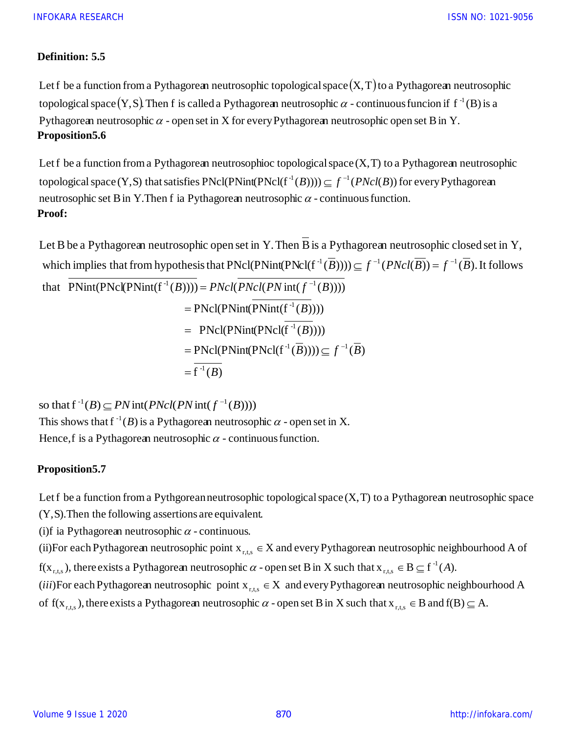## **Definition: 5.5**

Let f be a function from a Pythagorean neutrosophic topological space  $(X,T)$  to a Pythagorean neutrosophic topological space  $(Y, S)$ . Then f is called a Pythagorean neutrosophic  $\alpha$  - continuous funcion if  $f^{-1}(B)$  is a Pythagorean neutrosophic  $\alpha$  - open set in X for every Pythagorean neutrosophic open set B in Y. **Proposition5.6**

neutrosophic set B in Y. Then f ia Pythagorean neutrosophic  $\alpha$  - continuous function. topological space (Y,S) that satisfies  $PNcl(PNint(PNcl(f^{-1}(B)))) \subseteq f^{-1}(PNcl(B))$  for every Pythagorean Let f be a function from a Pythagorean neutrosophioc topological space  $(X, T)$  to a Pythagorean neutrosophic **Proof:**

 $= f^{-1}(B)$  $=$  PNcl(PNint(PNcl( $f^{-1}(B)$ )))  $\subseteq f^{-1}(B)$  $= \text{PNCl}(\text{PNint}(\text{PNCl}(f^{-1}(B))))$  $=$  PNcl(PNint(PNint( $f^{-1}(B)$ ))) that  $PNint(PNcl(PNint(f^{-1}(B)))) = PNcl(PNcl(PNint(f^{-1}(B))))$ which implies that from hypothesis that  $PNcl(PNint(PNcl(f^{-1}(B)))) \subseteq f^{-1}(PNcl(B)) = f^{-1}(B)$ . It follows Let B be a Pythagorean neutrosophic open set in Y. Then  $\overline{B}$  is a Pythagorean neutrosophic closed set in Y, beinding that PNcl(PNint(PNcl(f<sup>-1</sup>(*B*)))) = *PNcl*(*PNcl*(*PN* int(*f*<sup>-1</sup>(*B*)))) = *PNcl*(*PNcl*(*PN* int(*f*<sup>-1</sup>(*B*))))  $(B))$   $(f^{-1}(PNcl(B)) = f^{-1}(B)$ 

so that  $f^{-1}(B) \subseteq PN$  int(  $PNcl(PN$  int(  $f^{-1}(B)$ ))) Hence, f is a Pythagorean neutrosophic  $\alpha$  - continuous function. This shows that  $f^{-1}(B)$  is a Pythagorean neutrosophic  $\alpha$  - open set in X.

## **Proposition5.7**

Let f be a function from a Pythgorean neutrosophic topological space  $(X, T)$  to a Pythagorean neutrosophic space

(Y,S).Then the following assertions are equivalent.

(i)f ia Pythagorean neutrosophic  $\alpha$  - continuous.

(ii)For each Pythagorean neutrosophic point  $x_{\text{rms}} \in X$  and every Pythagorean neutrosophic neighbourhood A of For each Pythagorean neutrosophic point  $x_{r,t,s} \in X$  and every Pythagorean neutrosophic  $\alpha$  - open set B in X such that  $x_{r,t,s}$  $us$ <br> $\mathsf{IS.}$ <br> $\mathsf{r},\mathsf{t},\mathsf{s}$  $\in$ 

 $f(x_{\text{rts}})$ , there exists a Pythagorean neutrosophic  $\alpha$  - open set B in X such that  $x_{\text{rts}} \in B \subseteq f^{-1}(A)$ . -1  $\alpha$  - open set B in X such that  $X_{r+s} \in B \subseteq f^{-1}(A)$ 

of  $f(x_{\text{rts}})$ , there exists a Pythagorean neutrosophic  $\alpha$  - open set B in X such that  $x_{\text{rts}} \in B$  and  $f(B) \subseteq A$ . (*iii*)For each Pythagorean neutrosophic point  $x_{\text{true}} \in X$  and every Pythagorean neutrosophic neighbourhood A or each Pythagorean neutrosophic point  $x_{r,t,s} \in X$  and every Pythagorean neutrosophic point  $x_{r,t,s} \in X$  and every Pythagorean neutrosophic  $\alpha$  - open set B in X such that  $x_{r,t,s}$  $\alpha$ <br>r,t,s  $iii)$ For each Pythagorean neutrosophic point  $X_{r,s} \in$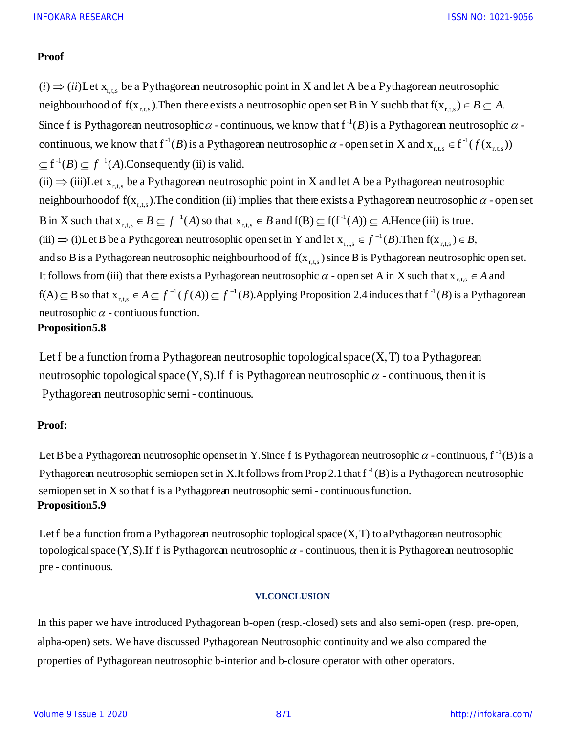#### **Proof**

B in X such that  $x_{r+s} \in B \subseteq f^{-1}(A)$  so that  $x_{r+s} \in B$  and  $f(B) \subseteq f(f^{-1}(A)) \subseteq A$ . Hence (iii) is true. neighbourhoodof  $f(x_{r,t,s})$ . The condition (ii) implies that there exists a Pythagorean neutrosophic  $\alpha$  - open set <br>B in X such that  $x_{r,t,s} \in B \subseteq f^{-1}(A)$  so that  $x_{r,t,s} \in B$  and  $f(B) \subseteq f(f^{-1}(A)) \subseteq A$ . Hence (iii) is true.  $(iii) \Rightarrow (iii)$ Let  $x_{r,s}$  be a Pythagorean neutrosophic point in X and let A be a Pythagorean neutrosophic  $\subseteq$  f<sup>-1</sup>(B)  $\subseteq$  f<sup>-1</sup>(A). Consequently (ii) is valid. continuous, we know that  $f^{-1}(B)$  is a Pythagorean neutrosophic  $\alpha$  - open set in X and  $x_{r+s} \in f^{-1}(f(x_{r+s}))$ Since f is Pythagorean neutrosophic  $\alpha$  - continuous, we know that  $f^{-1}(B)$  is a Pythagorean neutrosophic  $\alpha$  neighbourhood of  $f(x_{r,s})$ . Then there exists a neutrosophic open set B in Y suchb that  $f(x_{r,s}) \in B \subseteq A$ .  $(i) \Rightarrow (ii)$ Let  $x_{r,s}$  be a Pythagorean neutrosophic point in X and let A be a Pythagorean neutrosophic  $(a)$ <br>r,t,s  $\binom{A}{r,t,s}$  $\alpha$  - continuous, we know that  $f^{-1}(B)$  is a Pythagorean neutrosophic  $\alpha$ <br>Pythagorean neutrosophic  $\alpha$  - open set in X and  $x_{r,t,s} \in f^{-1}(f(x_{r,t,s}))$ Pythagorean neutrosophic point in X and let A be a Pythagorean neu<br>  $r_{\text{r,t,s}}$ ). Then there exists a neutrosophic open set B in Y such that  $f(x_{\text{r,t,s}})$ r, t, s  $i) \Rightarrow (ii)$  $\Rightarrow$  $\alpha$ neutrosophic  $\alpha$  - contiuous function.  $f(A) \subseteq B$  so that  $x_{r+s} \in A \subseteq f^{-1}(f(A)) \subseteq f^{-1}(B)$ . Applying Proposition 2.4 induces that  $f^{-1}(B)$  is a Pythagorean It follows from (iii) that there exists a Pythagorean neutrosophic  $\alpha$  - open set A in X such that  $x_{r,s} \in A$  and and so B is a Pythagorean neutrosophic neighbourhood of  $f(x_{r,s})$  since B is Pythagorean neutrosophic open set. (iii)  $\Rightarrow$  (i)Let B be a Pythagorean neutrosophic open set in Y and let  $x_{r,s} \in f^{-1}(B)$ . Then  $f(x_{r,s}) \in B$ ,  $)$  t<br>r,t,s  $SO$ <br>r,t,s r ,<br>nd<br>r,t,s<br>.  $\frac{1}{\sqrt{1}}$ 1  $\int_{r,t,s}^{1}$  $\alpha$  - open set A in X such that  $X_{r,s} \in A$  $\subseteq$  *B* so that  $X_{r,s} \in A \subseteq f^{-1}(f(A)) \subseteq f^{-1}(B)$ . Applying Proposition 2.4 induces that  $f^{-1}(B)$  $\Rightarrow$  (i)Let B be a Pythagorean neutrosophic open set in Y and let  $X_{r+s} \in f^{-1}(B)$ . Then  $f(X_{r+s}) \in B$ **Proposition5.8**

Pythagorean neutrosophic semi - continuous. neutrosophic topological space  $(Y, S)$ . If f is Pythagorean neutrosophic  $\alpha$  - continuous, then it is Let f be a function from a Pythagorean neutrosophic topological space  $(X, T)$  to a Pythagorean

## **Proof:**

semiopen set in X so that f is a Pythagorean neutrosophic semi - continuousfunction. Pythagorean neutrosophic semiopen set in X.It follows from Prop 2.1 that  $f^{-1}(B)$  is a Pythagorean neutrosophic P<mark>roof:</mark><br>Let B be a Pythagorean neutrosophic openset in Y.Since f is Pythagorean neutrosophic  $\alpha$  - continuous, f <sup>-1</sup>(B) is a **Proposition5.9**

pre - continuous. topological space (Y,S).If f is Pythagorean neutrosophic  $\alpha$  - continuous, then it is Pythagorean neutrosophic Let f be a function from a Pythagorean neutrosophic toplogical space  $(X, T)$  to aPythagorean neutrosophic

#### **VI.CONCLUSION**

In this paper we have introduced Pythagorean b-open (resp.-closed) sets and also semi-open (resp. pre-open, alpha-open) sets. We have discussed Pythagorean Neutrosophic continuity and we also compared the properties of Pythagorean neutrosophic b-interior and b-closure operator with other operators.